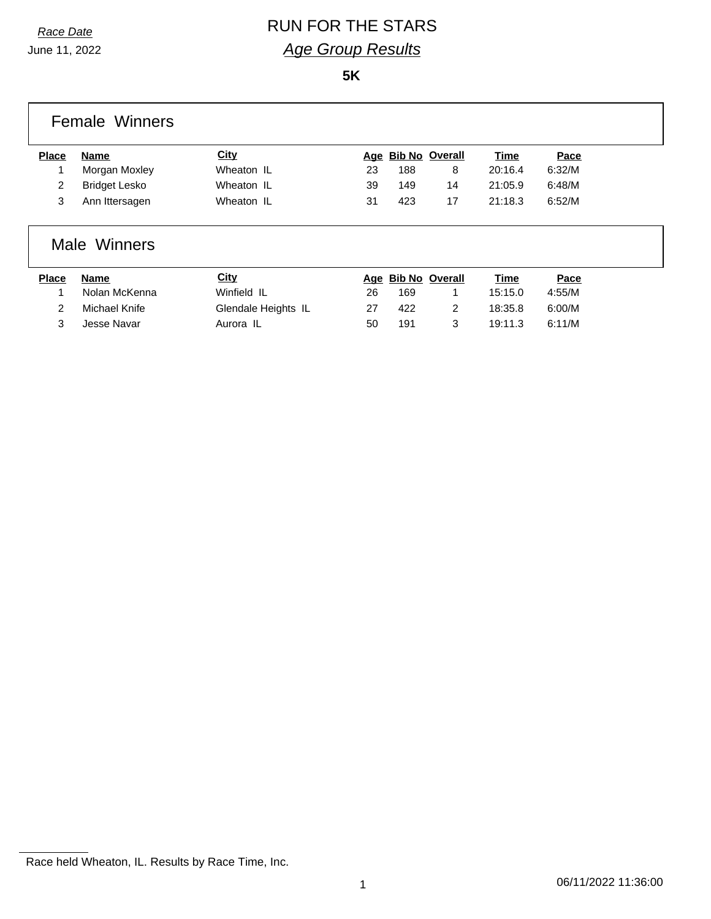# *Race Date* RUN FOR THE STARS *Age Group Results*

**5K**

|              | <b>Female Winners</b> |             |    |     |                    |             |        |  |
|--------------|-----------------------|-------------|----|-----|--------------------|-------------|--------|--|
| <b>Place</b> | Name                  | <b>City</b> |    |     | Age Bib No Overall | <b>Time</b> | Pace   |  |
|              | Morgan Moxley         | Wheaton IL  | 23 | 188 | 8                  | 20:16.4     | 6:32/M |  |
| 2            | <b>Bridget Lesko</b>  | Wheaton IL  | 39 | 149 | 14                 | 21:05.9     | 6:48/M |  |
| 3            | Ann Ittersagen        | Wheaton IL  | 31 | 423 | 17                 | 21:18.3     | 6:52/M |  |
|              |                       |             |    |     |                    |             |        |  |

### Male Winners

| <b>Place</b> | <b>Name</b>   | <b>City</b>         |    | Age Bib No Overall | Time    | Pace   |
|--------------|---------------|---------------------|----|--------------------|---------|--------|
|              | Nolan McKenna | Winfield IL         | 26 | 169                | 15:15.0 | 4:55/M |
|              | Michael Knife | Glendale Heights IL | 27 | 422                | 18:35.8 | 6:00/M |
|              | Jesse Navar   | Aurora IL           | 50 | 191                | 19:11.3 | 6:11/M |

Race held Wheaton, IL. Results by Race Time, Inc.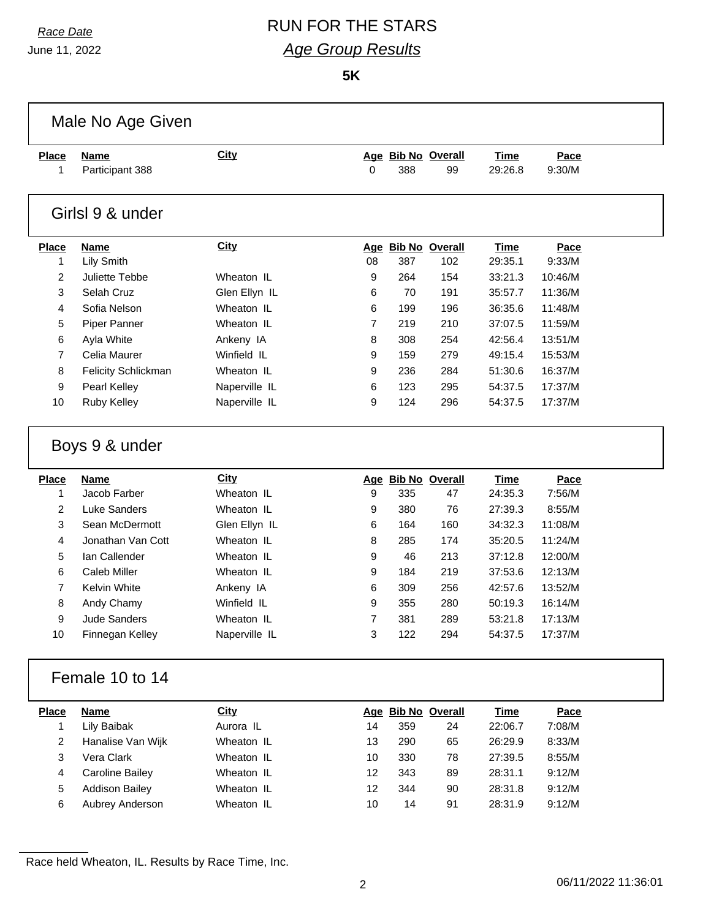# *Race Date* RUN FOR THE STARS *Age Group Results*

**5K**

|                   | Male No Age Given                      |                             |                     |            |                          |                        |                    |  |
|-------------------|----------------------------------------|-----------------------------|---------------------|------------|--------------------------|------------------------|--------------------|--|
| <b>Place</b>      | <b>Name</b>                            | <b>City</b>                 |                     |            | Age Bib No Overall       | <b>Time</b>            | Pace               |  |
| 1                 | Participant 388                        |                             | 0                   | 388        | 99                       | 29:26.8                | 9:30/M             |  |
|                   | Girlsl 9 & under                       |                             |                     |            |                          |                        |                    |  |
| <b>Place</b>      | <b>Name</b>                            | <b>City</b>                 |                     |            | Age Bib No Overall       | <b>Time</b>            | Pace               |  |
| $\mathbf{1}$      | Lily Smith                             |                             | 08                  | 387        | 102                      | 29:35.1                | 9:33/M             |  |
| $\overline{2}$    | Juliette Tebbe                         | Wheaton IL                  | 9                   | 264        | 154                      | 33:21.3                | 10:46/M            |  |
| 3                 | Selah Cruz                             | Glen Ellyn IL               | 6                   | 70         | 191                      | 35:57.7                | 11:36/M            |  |
| 4                 | Sofia Nelson                           | Wheaton IL                  | 6                   | 199        | 196                      | 36:35.6                | 11:48/M            |  |
| 5                 | Piper Panner                           | Wheaton IL                  | $\overline{7}$      | 219        | 210                      | 37:07.5                | 11:59/M            |  |
| 6                 | Ayla White                             | Ankeny IA                   | 8                   | 308        | 254                      | 42:56.4                | 13:51/M            |  |
| $\overline{7}$    | Celia Maurer                           | Winfield IL                 | 9                   | 159        | 279                      | 49:15.4                | 15:53/M            |  |
| 8                 | Felicity Schlickman                    | Wheaton IL                  | 9                   | 236        | 284                      | 51:30.6                | 16:37/M            |  |
| 9                 | Pearl Kelley                           | Naperville IL               | 6                   | 123        | 295                      | 54:37.5                | 17:37/M            |  |
| 10                | Ruby Kelley                            | Naperville IL               | 9                   | 124        | 296                      | 54:37.5                | 17:37/M            |  |
|                   | Boys 9 & under                         |                             |                     |            |                          |                        |                    |  |
| <b>Place</b><br>1 | <b>Name</b><br>Jacob Farber            | <b>City</b><br>Wheaton IL   | 9                   | 335        | Age Bib No Overall<br>47 | <b>Time</b><br>24:35.3 | Pace<br>7:56/M     |  |
| $\overline{2}$    | <b>Luke Sanders</b>                    | Wheaton IL                  | 9                   | 380        | 76                       | 27:39.3                | 8:55/M             |  |
| 3                 | Sean McDermott                         | Glen Ellyn IL               | 6                   | 164        | 160                      | 34:32.3                | 11:08/M            |  |
| 4                 | Jonathan Van Cott                      | Wheaton IL                  | 8                   | 285        | 174                      | 35:20.5                | 11:24/M            |  |
| 5                 | Ian Callender                          | Wheaton IL                  | 9                   | 46         | 213                      | 37:12.8                | 12:00/M            |  |
| 6                 | Caleb Miller                           | Wheaton IL                  | 9                   |            |                          | 37:53.6                | 12:13/M            |  |
|                   |                                        |                             |                     |            |                          |                        |                    |  |
|                   |                                        |                             |                     | 184        | 219                      |                        |                    |  |
| $\overline{7}$    | Kelvin White                           | Ankeny IA                   | 6                   | 309        | 256                      | 42:57.6                | 13:52/M            |  |
| 8                 | Andy Chamy                             | Winfield IL                 | 9                   | 355        | 280                      | 50:19.3                | 16:14/M            |  |
| 9<br>10           | <b>Jude Sanders</b><br>Finnegan Kelley | Wheaton IL<br>Naperville IL | $\overline{7}$<br>3 | 381<br>122 | 289<br>294               | 53:21.8<br>54:37.5     | 17:13/M<br>17:37/M |  |
|                   | Female 10 to 14                        |                             |                     |            |                          |                        |                    |  |
| <b>Place</b>      | <b>Name</b>                            | <b>City</b>                 |                     |            | Age Bib No Overall       | <b>Time</b>            | Pace               |  |
| $\mathbf{1}$      | Lily Baibak                            | Aurora IL                   | 14                  | 359        | 24                       | 22:06.7                | 7:08/M             |  |
| $\overline{2}$    | Hanalise Van Wijk                      | Wheaton IL                  | 13                  | 290        | 65                       | 26:29.9                | 8:33/M             |  |
| 3                 | Vera Clark                             | Wheaton IL                  | 10 <sup>1</sup>     | 330        | 78                       | 27:39.5                | 8:55/M             |  |
| $\overline{4}$    | <b>Caroline Bailey</b>                 | Wheaton IL                  | 12                  | 343        | 89                       | 28:31.1                | 9:12/M             |  |
| 5                 | <b>Addison Bailey</b>                  | Wheaton IL                  | 12                  | 344        | 90                       | 28:31.8                | 9:12/M             |  |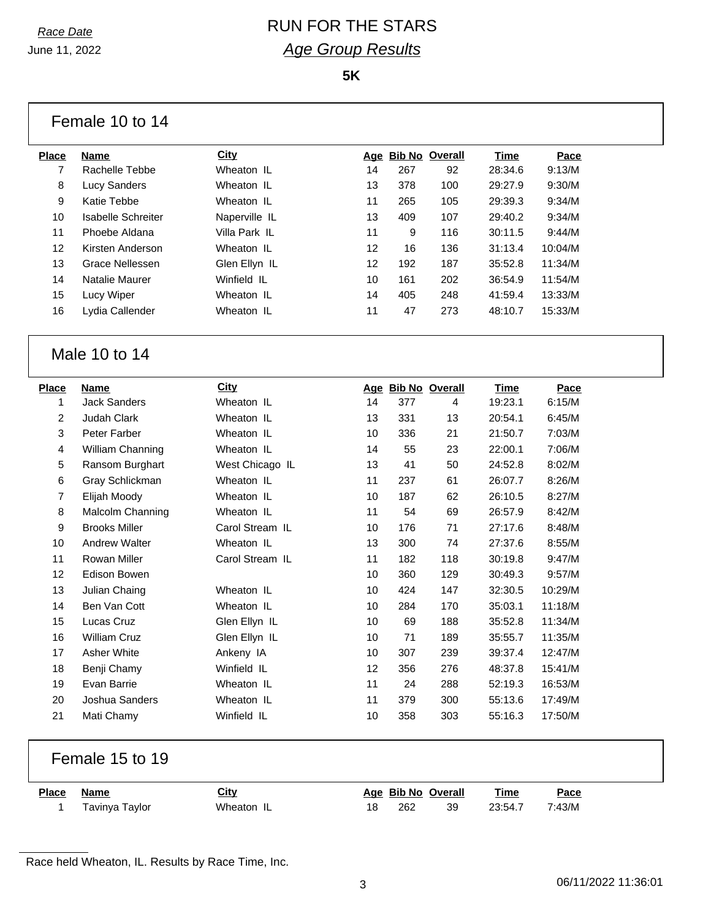### *Race Date* RUN FOR THE STARS *Age Group Results*

**5K**

|                         | Female 10 to 14                     |                 |          |            |                    |                    |                  |
|-------------------------|-------------------------------------|-----------------|----------|------------|--------------------|--------------------|------------------|
| <b>Place</b>            | <b>Name</b>                         | City            |          |            | Age Bib No Overall | <u>Time</u>        | Pace             |
| $\overline{7}$          | Rachelle Tebbe                      | Wheaton IL      | 14       | 267        | 92                 | 28:34.6            | 9:13/M           |
| 8                       | <b>Lucy Sanders</b>                 | Wheaton IL      | 13       | 378        | 100                | 29:27.9            | 9:30/M           |
| 9                       | Katie Tebbe                         | Wheaton IL      | 11       | 265        | 105                | 29:39.3            | 9:34/M           |
| 10                      | <b>Isabelle Schreiter</b>           | Naperville IL   | 13       | 409        | 107                | 29:40.2            | 9:34/M           |
| 11                      | Phoebe Aldana                       | Villa Park IL   | 11       | 9          | 116                | 30:11.5            | 9:44/M           |
| 12                      | Kirsten Anderson                    | Wheaton IL      | 12       | 16         | 136                | 31:13.4            | 10:04/M          |
| 13                      | <b>Grace Nellessen</b>              | Glen Ellyn IL   | 12       | 192        | 187                | 35:52.8            | 11:34/M          |
| 14                      | Natalie Maurer                      | Winfield IL     | 10       | 161        | 202                | 36:54.9            | 11:54/M          |
| 15                      | Lucy Wiper                          | Wheaton IL      | 14       | 405        | 248                | 41:59.4            | 13:33/M          |
| 16                      | Lydia Callender                     | Wheaton IL      | 11       | 47         | 273                | 48:10.7            | 15:33/M          |
|                         |                                     |                 |          |            |                    |                    |                  |
|                         | Male 10 to 14                       |                 |          |            |                    |                    |                  |
| <b>Place</b>            | <b>Name</b>                         | City            |          |            | Age Bib No Overall | Time               | Pace             |
| 1                       | <b>Jack Sanders</b>                 | Wheaton IL      | 14       | 377        | 4                  | 19:23.1            | 6:15/M           |
| $\overline{c}$          | <b>Judah Clark</b>                  | Wheaton IL      | 13       | 331        | 13                 | 20:54.1            | 6:45/M           |
| 3                       | Peter Farber                        | Wheaton IL      | 10       | 336        | 21                 | 21:50.7            | 7:03/M           |
| $\overline{\mathbf{4}}$ | William Channing                    | Wheaton IL      | 14       | 55         | 23                 | 22:00.1            | 7:06/M           |
| 5                       | Ransom Burghart                     | West Chicago IL | 13       | 41         | 50                 | 24:52.8            | 8:02/M           |
| 6                       | Gray Schlickman                     | Wheaton IL      | 11       | 237        | 61                 | 26:07.7            | 8:26/M           |
| $\overline{7}$          | Elijah Moody                        | Wheaton IL      | 10       | 187        | 62                 | 26:10.5            | 8:27/M           |
| 8                       | Malcolm Channing                    | Wheaton IL      | 11       | 54         | 69                 | 26:57.9            | 8:42/M           |
| 9                       | <b>Brooks Miller</b>                | Carol Stream IL | 10       | 176        | 71                 | 27:17.6            | 8:48/M           |
| 10                      | <b>Andrew Walter</b>                | Wheaton IL      | 13       | 300        | 74                 | 27:37.6            | 8:55/M           |
| 11<br>12                | <b>Rowan Miller</b><br>Edison Bowen | Carol Stream IL | 11<br>10 | 182<br>360 | 118<br>129         | 30:19.8<br>30:49.3 | 9:47/M<br>9:57/M |

Female 15 to 19

| <b>Place</b> | Name           | <u>City</u> |    | Age Bib No Overall |    | Time    | $P_{\text{ACE}}$ |
|--------------|----------------|-------------|----|--------------------|----|---------|------------------|
|              | Tavinya Taylor | Wheaton     | 18 | 262                | 39 | 23:54.7 | 7:43/M           |

14 Ben Van Cott **Wheaton IL** 10 284 170 35:03.1 11:18/M Lucas Cruz Glen Ellyn IL 10 69 188 35:52.8 11:34/M William Cruz Glen Ellyn IL 10 71 189 35:55.7 11:35/M Asher White Ankeny IA 10 307 239 39:37.4 12:47/M Benji Chamy Winfield IL 12 356 276 48:37.8 15:41/M Evan Barrie Wheaton IL 11 24 288 52:19.3 16:53/M Joshua Sanders Wheaton IL 11 379 300 55:13.6 17:49/M Mati Chamy Winfield IL 10 358 303 55:16.3 17:50/M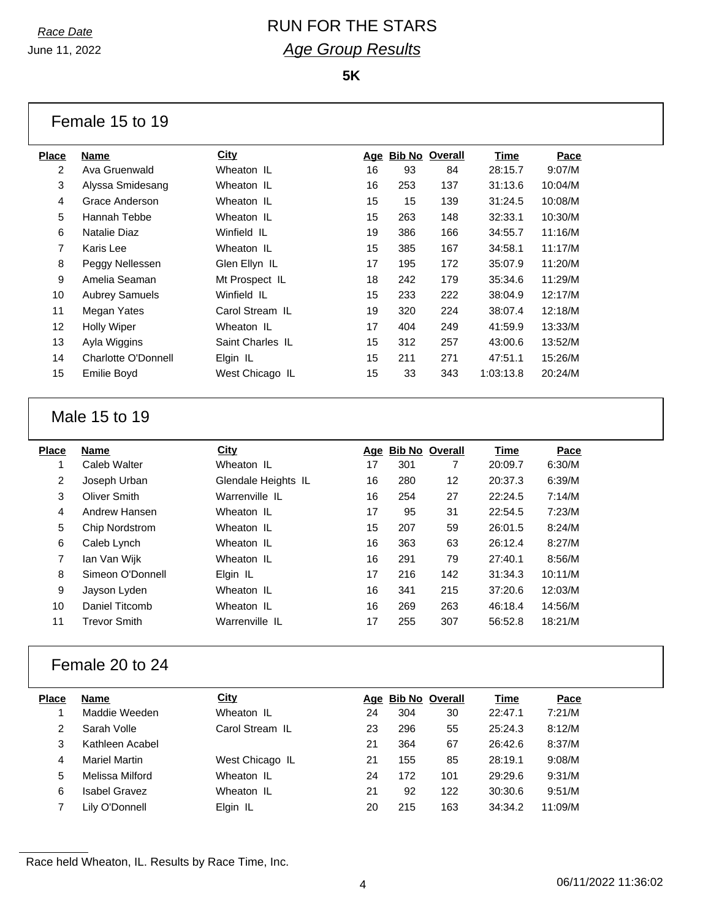## *Race Date* RUN FOR THE STARS *Age Group Results*

**5K**

| Female 15 to 19 |  |  |  |  |
|-----------------|--|--|--|--|
|-----------------|--|--|--|--|

| Place | Name                  | City             | Age | <b>Bib No Overall</b> |     | Time      | Pace    |
|-------|-----------------------|------------------|-----|-----------------------|-----|-----------|---------|
| 2     | Ava Gruenwald         | Wheaton IL       | 16  | 93                    | 84  | 28:15.7   | 9:07/M  |
| 3     | Alyssa Smidesang      | Wheaton IL       | 16  | 253                   | 137 | 31:13.6   | 10:04/M |
| 4     | Grace Anderson        | Wheaton IL       | 15  | 15                    | 139 | 31:24.5   | 10:08/M |
| 5     | Hannah Tebbe          | Wheaton IL       | 15  | 263                   | 148 | 32:33.1   | 10:30/M |
| 6     | Natalie Diaz          | Winfield IL      | 19  | 386                   | 166 | 34:55.7   | 11:16/M |
| 7     | Karis Lee             | Wheaton IL       | 15  | 385                   | 167 | 34:58.1   | 11:17/M |
| 8     | Peggy Nellessen       | Glen Ellyn IL    | 17  | 195                   | 172 | 35:07.9   | 11:20/M |
| 9     | Amelia Seaman         | Mt Prospect IL   | 18  | 242                   | 179 | 35:34.6   | 11:29/M |
| 10    | <b>Aubrey Samuels</b> | Winfield IL      | 15  | 233                   | 222 | 38:04.9   | 12:17/M |
| 11    | Megan Yates           | Carol Stream IL  | 19  | 320                   | 224 | 38:07.4   | 12:18/M |
| 12    | <b>Holly Wiper</b>    | Wheaton IL       | 17  | 404                   | 249 | 41:59.9   | 13:33/M |
| 13    | Ayla Wiggins          | Saint Charles IL | 15  | 312                   | 257 | 43:00.6   | 13:52/M |
| 14    | Charlotte O'Donnell   | Elgin IL         | 15  | 211                   | 271 | 47:51.1   | 15:26/M |
| 15    | <b>Emilie Boyd</b>    | West Chicago IL  | 15  | 33                    | 343 | 1:03:13.8 | 20:24/M |
|       |                       |                  |     |                       |     |           |         |

### Male 15 to 19

| Place | Name                | City                |    | Age Bib No Overall |     | Time    | Pace    |
|-------|---------------------|---------------------|----|--------------------|-----|---------|---------|
|       | Caleb Walter        | Wheaton IL          | 17 | 301                | 7   | 20:09.7 | 6:30/M  |
| 2     | Joseph Urban        | Glendale Heights IL | 16 | 280                | 12  | 20:37.3 | 6:39/M  |
| 3     | Oliver Smith        | Warrenville IL      | 16 | 254                | 27  | 22:24.5 | 7:14/M  |
| 4     | Andrew Hansen       | Wheaton IL          | 17 | 95                 | 31  | 22:54.5 | 7:23/M  |
| 5     | Chip Nordstrom      | Wheaton IL          | 15 | 207                | 59  | 26:01.5 | 8:24/M  |
| 6     | Caleb Lynch         | Wheaton IL          | 16 | 363                | 63  | 26:12.4 | 8:27/M  |
| 7     | Ian Van Wijk        | Wheaton IL          | 16 | 291                | 79  | 27:40.1 | 8:56/M  |
| 8     | Simeon O'Donnell    | Elgin IL            | 17 | 216                | 142 | 31:34.3 | 10:11/M |
| 9     | Jayson Lyden        | Wheaton IL          | 16 | 341                | 215 | 37:20.6 | 12:03/M |
| 10    | Daniel Titcomb      | Wheaton IL          | 16 | 269                | 263 | 46:18.4 | 14:56/M |
| 11    | <b>Trevor Smith</b> | Warrenville IL      | 17 | 255                | 307 | 56:52.8 | 18:21/M |
|       |                     |                     |    |                    |     |         |         |

### Female 20 to 24

| Place | <b>Name</b>          | City            |    | Age Bib No Overall |     | Time    | Pace    |
|-------|----------------------|-----------------|----|--------------------|-----|---------|---------|
|       | Maddie Weeden        | Wheaton IL      | 24 | 304                | 30  | 22:47.1 | 7:21/M  |
| 2     | Sarah Volle          | Carol Stream IL | 23 | 296                | 55  | 25:24.3 | 8:12/M  |
| 3     | Kathleen Acabel      |                 | 21 | 364                | 67  | 26:42.6 | 8:37/M  |
| 4     | <b>Mariel Martin</b> | West Chicago IL | 21 | 155                | 85  | 28:19.1 | 9:08/M  |
| 5     | Melissa Milford      | Wheaton IL      | 24 | 172                | 101 | 29:29.6 | 9:31/M  |
| 6     | <b>Isabel Gravez</b> | Wheaton IL      | 21 | 92                 | 122 | 30:30.6 | 9:51/M  |
|       | Lily O'Donnell       | Elgin IL        | 20 | 215                | 163 | 34:34.2 | 11:09/M |
|       |                      |                 |    |                    |     |         |         |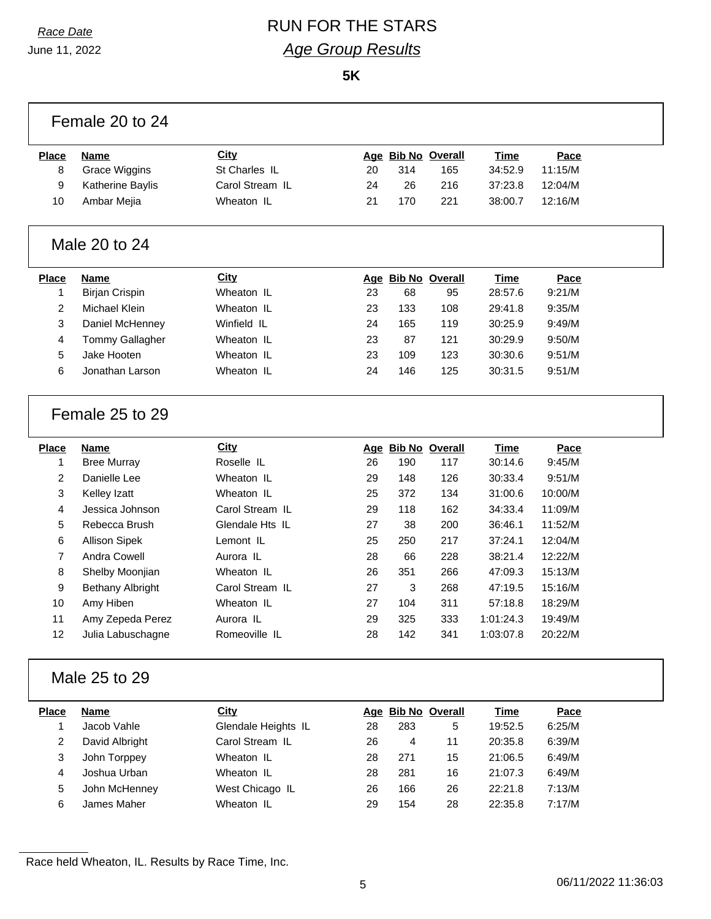# *Race Date* RUN FOR THE STARS *Age Group Results*

**5K**

|                | Female 20 to 24         |                     |    |     |                    |             |         |  |
|----------------|-------------------------|---------------------|----|-----|--------------------|-------------|---------|--|
| <b>Place</b>   | Name                    | <b>City</b>         |    |     | Age Bib No Overall | Time        | Pace    |  |
| 8              | <b>Grace Wiggins</b>    | St Charles IL       | 20 | 314 | 165                | 34:52.9     | 11:15/M |  |
| 9              | Katherine Baylis        | Carol Stream IL     | 24 | 26  | 216                | 37:23.8     | 12:04/M |  |
| 10             | Ambar Mejia             | Wheaton IL          | 21 | 170 | 221                | 38:00.7     | 12:16/M |  |
|                | Male 20 to 24           |                     |    |     |                    |             |         |  |
| <b>Place</b>   | <b>Name</b>             | <b>City</b>         |    |     | Age Bib No Overall | <b>Time</b> | Pace    |  |
| 1              | <b>Birjan Crispin</b>   | Wheaton IL          | 23 | 68  | 95                 | 28:57.6     | 9:21/M  |  |
| 2              | Michael Klein           | Wheaton IL          | 23 | 133 | 108                | 29:41.8     | 9:35/M  |  |
| 3              | Daniel McHenney         | Winfield IL         | 24 | 165 | 119                | 30:25.9     | 9:49/M  |  |
| 4              | <b>Tommy Gallagher</b>  | Wheaton IL          | 23 | 87  | 121                | 30:29.9     | 9:50/M  |  |
| 5              | Jake Hooten             | Wheaton IL          | 23 | 109 | 123                | 30:30.6     | 9:51/M  |  |
| 6              | Jonathan Larson         | Wheaton IL          | 24 | 146 | 125                | 30:31.5     | 9:51/M  |  |
|                | Female 25 to 29         |                     |    |     |                    |             |         |  |
| <b>Place</b>   | <b>Name</b>             | <b>City</b>         |    |     | Age Bib No Overall | <b>Time</b> | Pace    |  |
| $\mathbf{1}$   | <b>Bree Murray</b>      | Roselle IL          | 26 | 190 | 117                | 30:14.6     | 9:45/M  |  |
| 2              | Danielle Lee            | Wheaton IL          | 29 | 148 | 126                | 30:33.4     | 9:51/M  |  |
| 3              | Kelley Izatt            | Wheaton IL          | 25 | 372 | 134                | 31:00.6     | 10:00/M |  |
| 4              | Jessica Johnson         | Carol Stream IL     | 29 | 118 | 162                | 34:33.4     | 11:09/M |  |
| 5              | Rebecca Brush           | Glendale Hts IL     | 27 | 38  | 200                | 36:46.1     | 11:52/M |  |
| 6              | <b>Allison Sipek</b>    | Lemont IL           | 25 | 250 | 217                | 37:24.1     | 12:04/M |  |
| $\overline{7}$ | Andra Cowell            | Aurora IL           | 28 | 66  | 228                | 38:21.4     | 12:22/M |  |
| 8              | Shelby Moonjian         | Wheaton IL          | 26 | 351 | 266                | 47:09.3     | 15:13/M |  |
| 9              | <b>Bethany Albright</b> | Carol Stream IL     | 27 | 3   | 268                | 47:19.5     | 15:16/M |  |
| 10             | Amy Hiben               | Wheaton IL          | 27 | 104 | 311                | 57:18.8     | 18:29/M |  |
| 11             | Amy Zepeda Perez        | Aurora IL           | 29 | 325 | 333                | 1:01:24.3   | 19:49/M |  |
| 12             | Julia Labuschagne       | Romeoville IL       | 28 | 142 | 341                | 1:03:07.8   | 20:22/M |  |
|                | Male 25 to 29           |                     |    |     |                    |             |         |  |
| <b>Place</b>   | <b>Name</b>             | City                |    |     | Age Bib No Overall | <b>Time</b> | Pace    |  |
| 1              | Jacob Vahle             | Glendale Heights IL | 28 | 283 | 5                  | 19:52.5     | 6:25/M  |  |
| 2              | David Albright          | Carol Stream IL     | 26 | 4   | 11                 | 20:35.8     | 6:39/M  |  |
| 3              | John Torppey            | Wheaton IL          | 28 | 271 | 15                 | 21:06.5     | 6:49/M  |  |
| 4              | Joshua Urban            | Wheaton IL          | 28 | 281 | 16                 | 21:07.3     | 6:49/M  |  |
| 5              | John McHenney           | West Chicago IL     | 26 | 166 | 26                 | 22:21.8     | 7:13/M  |  |
| 6              | James Maher             | Wheaton IL          | 29 | 154 | 28                 | 22:35.8     | 7:17/M  |  |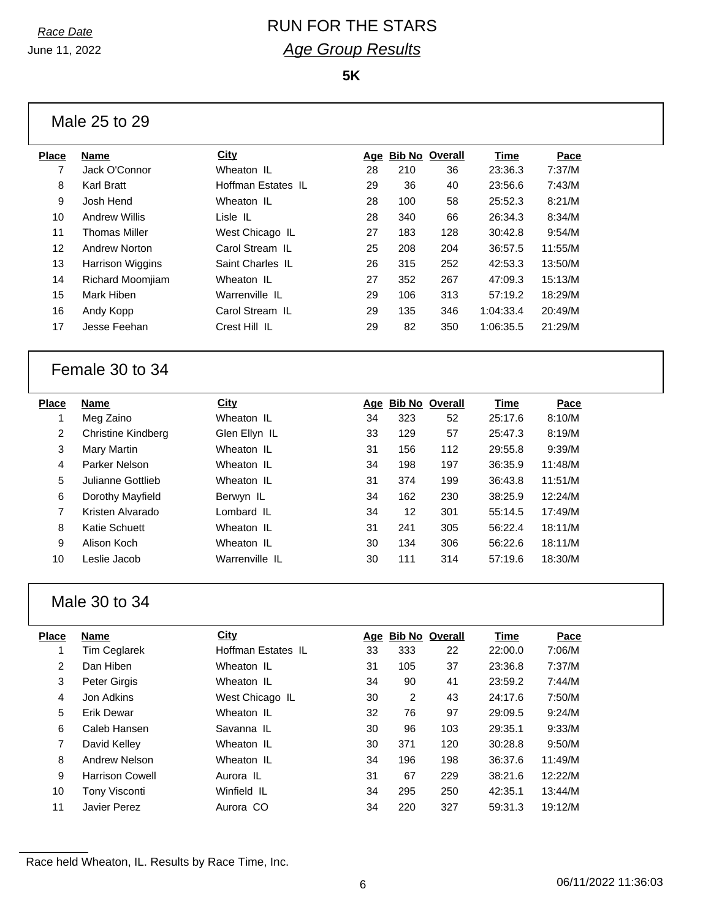## *Race Date* RUN FOR THE STARS *Age Group Results*

**5K**

| Place | <b>Name</b>             | <b>City</b>        |    | Age Bib No Overall |     | Time      | Pace    |
|-------|-------------------------|--------------------|----|--------------------|-----|-----------|---------|
| 7     | Jack O'Connor           | Wheaton IL         | 28 | 210                | 36  | 23:36.3   | 7:37/M  |
| 8     | <b>Karl Bratt</b>       | Hoffman Estates IL | 29 | 36                 | 40  | 23:56.6   | 7:43/M  |
| 9     | Josh Hend               | Wheaton IL         | 28 | 100                | 58  | 25:52.3   | 8:21/M  |
| 10    | <b>Andrew Willis</b>    | Lisle IL           | 28 | 340                | 66  | 26:34.3   | 8:34/M  |
| 11    | <b>Thomas Miller</b>    | West Chicago IL    | 27 | 183                | 128 | 30:42.8   | 9:54/M  |
| 12    | <b>Andrew Norton</b>    | Carol Stream IL    | 25 | 208                | 204 | 36:57.5   | 11:55/M |
| 13    | <b>Harrison Wiggins</b> | Saint Charles IL   | 26 | 315                | 252 | 42:53.3   | 13:50/M |
| 14    | <b>Richard Moomjiam</b> | Wheaton IL         | 27 | 352                | 267 | 47:09.3   | 15:13/M |
| 15    | Mark Hiben              | Warrenville IL     | 29 | 106                | 313 | 57:19.2   | 18:29/M |
| 16    | Andy Kopp               | Carol Stream IL    | 29 | 135                | 346 | 1:04:33.4 | 20:49/M |
| 17    | Jesse Feehan            | Crest Hill IL      | 29 | 82                 | 350 | 1:06:35.5 | 21:29/M |
|       |                         |                    |    |                    |     |           |         |

#### Female 30 to 34

| Place | Name               | City           | Age | <b>Bib No Overall</b> |     | Time    | Pace    |
|-------|--------------------|----------------|-----|-----------------------|-----|---------|---------|
|       | Meg Zaino          | Wheaton IL     | 34  | 323                   | 52  | 25:17.6 | 8:10/M  |
| 2     | Christine Kindberg | Glen Ellyn IL  | 33  | 129                   | 57  | 25:47.3 | 8:19/M  |
| 3     | Mary Martin        | Wheaton IL     | 31  | 156                   | 112 | 29:55.8 | 9:39/M  |
| 4     | Parker Nelson      | Wheaton IL     | 34  | 198                   | 197 | 36:35.9 | 11:48/M |
| 5     | Julianne Gottlieb  | Wheaton IL     | 31  | 374                   | 199 | 36:43.8 | 11:51/M |
| 6     | Dorothy Mayfield   | Berwyn IL      | 34  | 162                   | 230 | 38:25.9 | 12:24/M |
| 7     | Kristen Alvarado   | Lombard IL     | 34  | $12 \overline{ }$     | 301 | 55:14.5 | 17:49/M |
| 8     | Katie Schuett      | Wheaton IL     | 31  | 241                   | 305 | 56:22.4 | 18:11/M |
| 9     | Alison Koch        | Wheaton IL     | 30  | 134                   | 306 | 56:22.6 | 18:11/M |
| 10    | Leslie Jacob       | Warrenville IL | 30  | 111                   | 314 | 57:19.6 | 18:30/M |
|       |                    |                |     |                       |     |         |         |

#### Male 30 to 34

| <b>Place</b> | Name                   | <b>City</b>        |    | Age Bib No Overall |     | Time    | Pace    |
|--------------|------------------------|--------------------|----|--------------------|-----|---------|---------|
| 1            | <b>Tim Ceglarek</b>    | Hoffman Estates IL | 33 | 333                | 22  | 22:00.0 | 7:06/M  |
| 2            | Dan Hiben              | Wheaton IL         | 31 | 105                | 37  | 23:36.8 | 7:37/M  |
| 3            | Peter Girgis           | Wheaton IL         | 34 | 90                 | 41  | 23:59.2 | 7:44/M  |
| 4            | Jon Adkins             | West Chicago IL    | 30 | 2                  | 43  | 24:17.6 | 7:50/M  |
| 5            | <b>Erik Dewar</b>      | Wheaton IL         | 32 | 76                 | 97  | 29:09.5 | 9:24/M  |
| 6            | Caleb Hansen           | Savanna IL         | 30 | 96                 | 103 | 29:35.1 | 9:33/M  |
| 7            | David Kelley           | Wheaton IL         | 30 | 371                | 120 | 30:28.8 | 9:50/M  |
| 8            | Andrew Nelson          | Wheaton IL         | 34 | 196                | 198 | 36:37.6 | 11:49/M |
| 9            | <b>Harrison Cowell</b> | Aurora IL          | 31 | 67                 | 229 | 38:21.6 | 12:22/M |
| 10           | <b>Tony Visconti</b>   | Winfield IL        | 34 | 295                | 250 | 42:35.1 | 13:44/M |
| 11           | Javier Perez           | Aurora CO          | 34 | 220                | 327 | 59:31.3 | 19:12/M |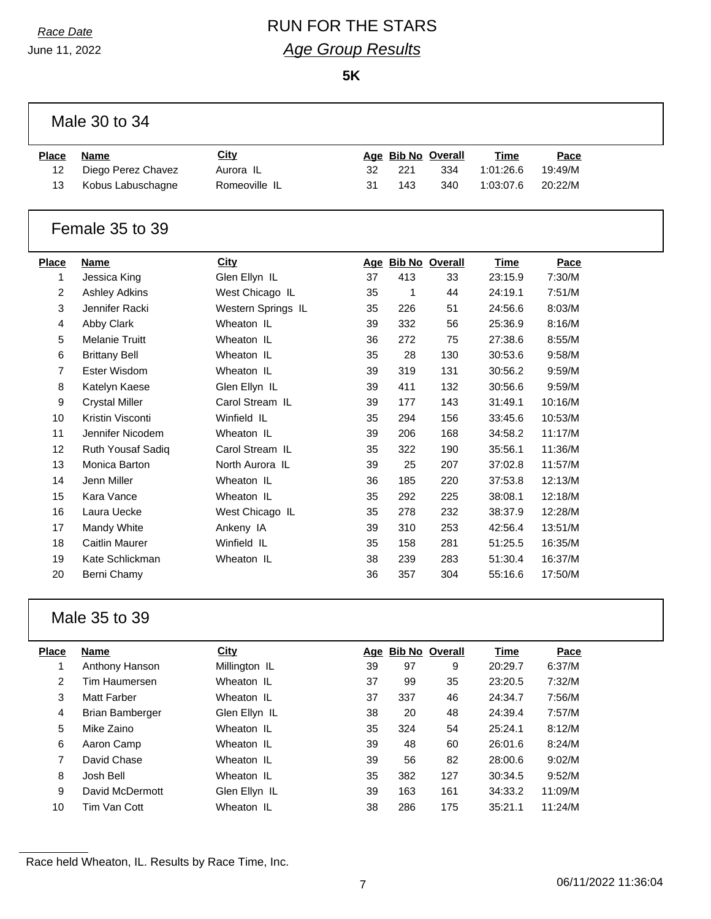# *Race Date* RUN FOR THE STARS *Age Group Results*

**5K**

| Male 30 to 34   |                       |                    |    |     |                    |             |         |  |  |
|-----------------|-----------------------|--------------------|----|-----|--------------------|-------------|---------|--|--|
| <b>Place</b>    | <b>Name</b>           | City               |    |     | Age Bib No Overall | <b>Time</b> | Pace    |  |  |
| 12              | Diego Perez Chavez    | Aurora IL          | 32 | 221 | 334                | 1:01:26.6   | 19:49/M |  |  |
| 13              | Kobus Labuschagne     | Romeoville IL      | 31 | 143 | 340                | 1:03:07.6   | 20:22/M |  |  |
|                 |                       |                    |    |     |                    |             |         |  |  |
| Female 35 to 39 |                       |                    |    |     |                    |             |         |  |  |
| <b>Place</b>    | <b>Name</b>           | City               |    |     | Age Bib No Overall | Time        | Pace    |  |  |
| $\mathbf{1}$    | Jessica King          | Glen Ellyn IL      | 37 | 413 | 33                 | 23:15.9     | 7:30/M  |  |  |
| 2               | <b>Ashley Adkins</b>  | West Chicago IL    | 35 | 1   | 44                 | 24:19.1     | 7:51/M  |  |  |
| 3               | Jennifer Racki        | Western Springs IL | 35 | 226 | 51                 | 24:56.6     | 8:03/M  |  |  |
| 4               | Abby Clark            | Wheaton IL         | 39 | 332 | 56                 | 25:36.9     | 8:16/M  |  |  |
| 5               | <b>Melanie Truitt</b> | Wheaton IL         | 36 | 272 | 75                 | 27:38.6     | 8:55/M  |  |  |
| 6               | <b>Brittany Bell</b>  | Wheaton IL         | 35 | 28  | 130                | 30:53.6     | 9:58/M  |  |  |
| $\overline{7}$  | Ester Wisdom          | Wheaton IL         | 39 | 319 | 131                | 30:56.2     | 9:59/M  |  |  |
| 8               | Katelyn Kaese         | Glen Ellyn IL      | 39 | 411 | 132                | 30:56.6     | 9:59/M  |  |  |
| 9               | <b>Crystal Miller</b> | Carol Stream IL    | 39 | 177 | 143                | 31:49.1     | 10:16/M |  |  |
| 10              | Kristin Visconti      | Winfield IL        | 35 | 294 | 156                | 33:45.6     | 10:53/M |  |  |
| 11              | Jennifer Nicodem      | Wheaton IL         | 39 | 206 | 168                | 34:58.2     | 11:17/M |  |  |
| 12              | Ruth Yousaf Sadiq     | Carol Stream IL    | 35 | 322 | 190                | 35:56.1     | 11:36/M |  |  |
| 13              | Monica Barton         | North Aurora IL    | 39 | 25  | 207                | 37:02.8     | 11:57/M |  |  |
| 14              | Jenn Miller           | Wheaton IL         | 36 | 185 | 220                | 37:53.8     | 12:13/M |  |  |
| 15              | Kara Vance            | Wheaton IL         | 35 | 292 | 225                | 38:08.1     | 12:18/M |  |  |
| 16              | Laura Uecke           | West Chicago IL    | 35 | 278 | 232                | 38:37.9     | 12:28/M |  |  |
| 17              | Mandy White           | Ankeny IA          | 39 | 310 | 253                | 42:56.4     | 13:51/M |  |  |
| 18              | <b>Caitlin Maurer</b> | Winfield IL        | 35 | 158 | 281                | 51:25.5     | 16:35/M |  |  |
| 19              | Kate Schlickman       | Wheaton IL         | 38 | 239 | 283                | 51:30.4     | 16:37/M |  |  |
| 20              | Berni Chamy           |                    | 36 | 357 | 304                | 55:16.6     | 17:50/M |  |  |
|                 |                       |                    |    |     |                    |             |         |  |  |

### Male 35 to 39

| Place | Name               | <b>City</b>   |    | Age Bib No Overall |     | Time    | Pace    |
|-------|--------------------|---------------|----|--------------------|-----|---------|---------|
|       | Anthony Hanson     | Millington IL | 39 | 97                 | 9   | 20:29.7 | 6:37/M  |
| 2     | Tim Haumersen      | Wheaton IL    | 37 | 99                 | 35  | 23:20.5 | 7:32/M  |
| 3     | <b>Matt Farber</b> | Wheaton IL    | 37 | 337                | 46  | 24:34.7 | 7:56/M  |
| 4     | Brian Bamberger    | Glen Ellyn IL | 38 | 20                 | 48  | 24:39.4 | 7:57/M  |
| 5     | Mike Zaino         | Wheaton IL    | 35 | 324                | 54  | 25:24.1 | 8:12/M  |
| 6     | Aaron Camp         | Wheaton IL    | 39 | 48                 | 60  | 26:01.6 | 8:24/M  |
| 7     | David Chase        | Wheaton IL    | 39 | 56                 | 82  | 28:00.6 | 9:02/M  |
| 8     | Josh Bell          | Wheaton IL    | 35 | 382                | 127 | 30:34.5 | 9:52/M  |
| 9     | David McDermott    | Glen Ellyn IL | 39 | 163                | 161 | 34:33.2 | 11:09/M |
| 10    | Tim Van Cott       | Wheaton IL    | 38 | 286                | 175 | 35:21.1 | 11:24/M |
|       |                    |               |    |                    |     |         |         |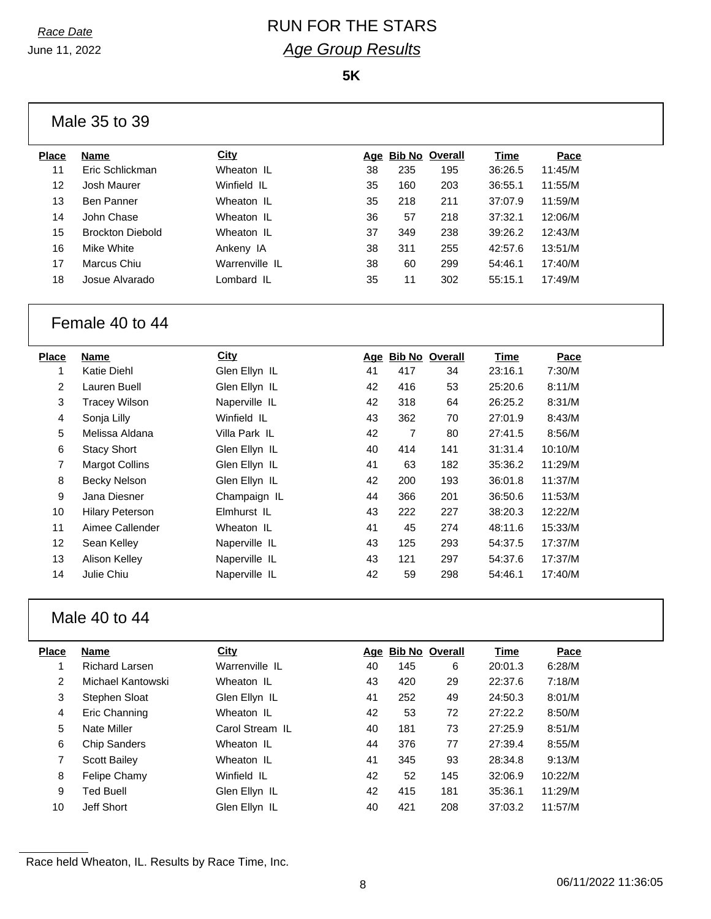## *Race Date* RUN FOR THE STARS *Age Group Results*

**5K**

| Male 35 to 39 |  |  |  |
|---------------|--|--|--|
|---------------|--|--|--|

| Place | Name                    | <b>City</b>    | Aqe |     | <b>Bib No Overall</b> | Time    | Pace    |  |
|-------|-------------------------|----------------|-----|-----|-----------------------|---------|---------|--|
| 11    | Eric Schlickman         | Wheaton IL     | 38  | 235 | 195                   | 36:26.5 | 11:45/M |  |
| 12    | Josh Maurer             | Winfield IL    | 35  | 160 | 203                   | 36:55.1 | 11:55/M |  |
| 13    | Ben Panner              | Wheaton IL     | 35  | 218 | 211                   | 37:07.9 | 11:59/M |  |
| 14    | John Chase              | Wheaton IL     | 36  | 57  | 218                   | 37:32.1 | 12:06/M |  |
| 15    | <b>Brockton Diebold</b> | Wheaton IL     | 37  | 349 | 238                   | 39:26.2 | 12:43/M |  |
| 16    | Mike White              | Ankeny IA      | 38  | 311 | 255                   | 42:57.6 | 13:51/M |  |
| 17    | Marcus Chiu             | Warrenville IL | 38  | 60  | 299                   | 54:46.1 | 17:40/M |  |
| 18    | Josue Alvarado          | Lombard IL     | 35  | 11  | 302                   | 55:15.1 | 17:49/M |  |
|       |                         |                |     |     |                       |         |         |  |

#### Female 40 to 44

| Place             | Name                   | City          | Age | <b>Bib No Overall</b> |     | Time    | Pace    |
|-------------------|------------------------|---------------|-----|-----------------------|-----|---------|---------|
|                   | Katie Diehl            | Glen Ellyn IL | 41  | 417                   | 34  | 23:16.1 | 7:30/M  |
| $\overline{2}$    | Lauren Buell           | Glen Ellyn IL | 42  | 416                   | 53  | 25:20.6 | 8:11/M  |
| 3                 | <b>Tracey Wilson</b>   | Naperville IL | 42  | 318                   | 64  | 26:25.2 | 8:31/M  |
| 4                 | Sonja Lilly            | Winfield IL   | 43  | 362                   | 70  | 27:01.9 | 8:43/M  |
| 5                 | Melissa Aldana         | Villa Park IL | 42  | 7                     | 80  | 27:41.5 | 8:56/M  |
| 6                 | <b>Stacy Short</b>     | Glen Ellyn IL | 40  | 414                   | 141 | 31:31.4 | 10:10/M |
| $\overline{7}$    | <b>Margot Collins</b>  | Glen Ellyn IL | 41  | 63                    | 182 | 35:36.2 | 11:29/M |
| 8                 | <b>Becky Nelson</b>    | Glen Ellyn IL | 42  | 200                   | 193 | 36:01.8 | 11:37/M |
| 9                 | Jana Diesner           | Champaign IL  | 44  | 366                   | 201 | 36:50.6 | 11:53/M |
| 10                | <b>Hilary Peterson</b> | Elmhurst IL   | 43  | 222                   | 227 | 38:20.3 | 12:22/M |
| 11                | Aimee Callender        | Wheaton IL    | 41  | 45                    | 274 | 48:11.6 | 15:33/M |
| $12 \overline{ }$ | Sean Kelley            | Naperville IL | 43  | 125                   | 293 | 54:37.5 | 17:37/M |
| 13                | Alison Kelley          | Naperville IL | 43  | 121                   | 297 | 54:37.6 | 17:37/M |
| 14                | Julie Chiu             | Naperville IL | 42  | 59                    | 298 | 54:46.1 | 17:40/M |
|                   |                        |               |     |                       |     |         |         |

## Male 40 to 44

| Place | <b>Name</b>         | City            |    | Age Bib No Overall |     | Time    | Pace    |
|-------|---------------------|-----------------|----|--------------------|-----|---------|---------|
|       | Richard Larsen      | Warrenville IL  | 40 | 145                | 6   | 20:01.3 | 6:28/M  |
| 2     | Michael Kantowski   | Wheaton IL      | 43 | 420                | 29  | 22:37.6 | 7:18/M  |
| 3     | Stephen Sloat       | Glen Ellyn IL   | 41 | 252                | 49  | 24:50.3 | 8:01/M  |
| 4     | Eric Channing       | Wheaton IL      | 42 | 53                 | 72  | 27:22.2 | 8:50/M  |
| 5     | Nate Miller         | Carol Stream IL | 40 | 181                | 73  | 27:25.9 | 8:51/M  |
| 6     | <b>Chip Sanders</b> | Wheaton IL      | 44 | 376                | 77  | 27:39.4 | 8:55/M  |
| 7     | <b>Scott Bailey</b> | Wheaton IL      | 41 | 345                | 93  | 28:34.8 | 9:13/M  |
| 8     | Felipe Chamy        | Winfield IL     | 42 | 52                 | 145 | 32:06.9 | 10:22/M |
| 9     | <b>Ted Buell</b>    | Glen Ellyn IL   | 42 | 415                | 181 | 35:36.1 | 11:29/M |
| 10    | Jeff Short          | Glen Ellyn IL   | 40 | 421                | 208 | 37:03.2 | 11:57/M |
|       |                     |                 |    |                    |     |         |         |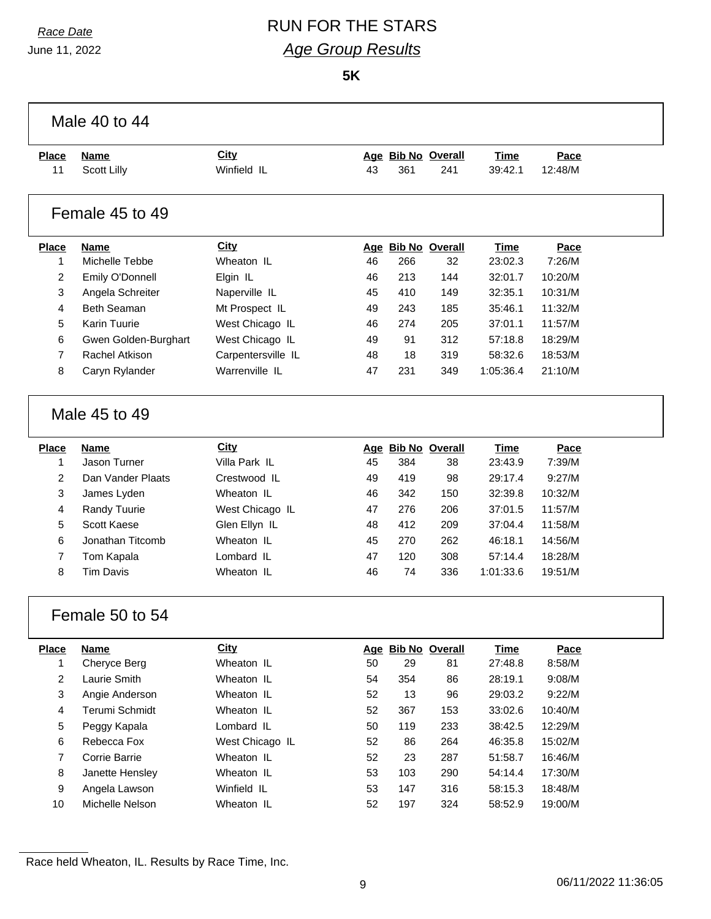# *Race Date* RUN FOR THE STARS *Age Group Results*

**5K**

|                         | Male 40 to 44        |                    |    |     |                    |             |         |  |  |
|-------------------------|----------------------|--------------------|----|-----|--------------------|-------------|---------|--|--|
| <b>Place</b>            | <b>Name</b>          | City               |    |     | Age Bib No Overall | <b>Time</b> | Pace    |  |  |
| 11                      | <b>Scott Lilly</b>   | Winfield IL        | 43 | 361 | 241                | 39:42.1     | 12:48/M |  |  |
|                         | Female 45 to 49      |                    |    |     |                    |             |         |  |  |
| <b>Place</b>            | <b>Name</b>          | <b>City</b>        |    |     | Age Bib No Overall | Time        | Pace    |  |  |
| 1                       | Michelle Tebbe       | Wheaton IL         | 46 | 266 | 32                 | 23:02.3     | 7:26/M  |  |  |
| $\overline{c}$          | Emily O'Donnell      | Elgin IL           | 46 | 213 | 144                | 32:01.7     | 10:20/M |  |  |
| 3                       | Angela Schreiter     | Naperville IL      | 45 | 410 | 149                | 32:35.1     | 10:31/M |  |  |
| 4                       | <b>Beth Seaman</b>   | Mt Prospect IL     | 49 | 243 | 185                | 35:46.1     | 11:32/M |  |  |
| 5                       | <b>Karin Tuurie</b>  | West Chicago IL    | 46 | 274 | 205                | 37:01.1     | 11:57/M |  |  |
| 6                       | Gwen Golden-Burghart | West Chicago IL    | 49 | 91  | 312                | 57:18.8     | 18:29/M |  |  |
| $\overline{7}$          | Rachel Atkison       | Carpentersville IL | 48 | 18  | 319                | 58:32.6     | 18:53/M |  |  |
| 8                       | Caryn Rylander       | Warrenville IL     | 47 | 231 | 349                | 1:05:36.4   | 21:10/M |  |  |
| Male 45 to 49           |                      |                    |    |     |                    |             |         |  |  |
| <b>Place</b>            | <b>Name</b>          | City               |    |     | Age Bib No Overall | <b>Time</b> | Pace    |  |  |
| 1                       | Jason Turner         | Villa Park IL      | 45 | 384 | 38                 | 23:43.9     | 7:39/M  |  |  |
| $\overline{2}$          | Dan Vander Plaats    | Crestwood IL       | 49 | 419 | 98                 | 29:17.4     | 9:27/M  |  |  |
| 3                       | James Lyden          | Wheaton IL         | 46 | 342 | 150                | 32:39.8     | 10:32/M |  |  |
| 4                       | Randy Tuurie         | West Chicago IL    | 47 | 276 | 206                | 37:01.5     | 11:57/M |  |  |
| 5                       | Scott Kaese          | Glen Ellyn IL      | 48 | 412 | 209                | 37:04.4     | 11:58/M |  |  |
| 6                       | Jonathan Titcomb     | Wheaton IL         | 45 | 270 | 262                | 46:18.1     | 14:56/M |  |  |
| $\overline{7}$          | Tom Kapala           | Lombard IL         | 47 | 120 | 308                | 57:14.4     | 18:28/M |  |  |
| 8                       | <b>Tim Davis</b>     | Wheaton IL         | 46 | 74  | 336                | 1:01:33.6   | 19:51/M |  |  |
|                         | Female 50 to 54      |                    |    |     |                    |             |         |  |  |
| Place                   | <b>Name</b>          | City               |    |     | Age Bib No Overall | <b>Time</b> | Pace    |  |  |
| $\mathbf{1}$            | Cheryce Berg         | Wheaton IL         | 50 | 29  | 81                 | 27:48.8     | 8:58/M  |  |  |
| $\overline{c}$          | Laurie Smith         | Wheaton IL         | 54 | 354 | 86                 | 28:19.1     | 9:08/M  |  |  |
| 3                       | Angie Anderson       | Wheaton IL         | 52 | 13  | 96                 | 29:03.2     | 9:22/M  |  |  |
| $\overline{\mathbf{4}}$ | Terumi Schmidt       | Wheaton IL         | 52 | 367 | 153                | 33:02.6     | 10:40/M |  |  |
| 5                       | Peggy Kapala         | Lombard IL         | 50 | 119 | 233                | 38:42.5     | 12:29/M |  |  |
| 6                       | Rebecca Fox          | West Chicago IL    | 52 | 86  | 264                | 46:35.8     | 15:02/M |  |  |
| $\overline{7}$          | Corrie Barrie        | Wheaton IL         | 52 | 23  | 287                | 51:58.7     | 16:46/M |  |  |
| 8                       | Janette Hensley      | Wheaton IL         | 53 | 103 | 290                | 54:14.4     | 17:30/M |  |  |
| 9                       | Angela Lawson        | Winfield IL        | 53 | 147 | 316                | 58:15.3     | 18:48/M |  |  |
| 10                      | Michelle Nelson      | Wheaton IL         | 52 | 197 | 324                | 58:52.9     | 19:00/M |  |  |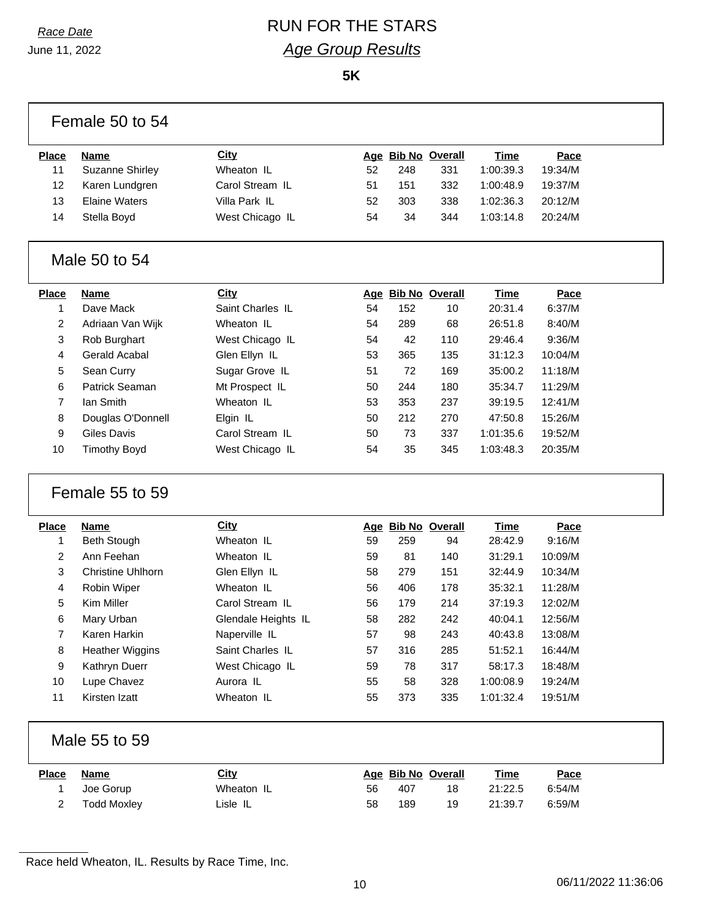# *Race Date* RUN FOR THE STARS *Age Group Results*

**5K**

|                   | Female 50 to 54          |                     |    |     |                          |                        |                |  |
|-------------------|--------------------------|---------------------|----|-----|--------------------------|------------------------|----------------|--|
| <b>Place</b>      | <b>Name</b>              | <b>City</b>         |    |     | Age Bib No Overall       | <b>Time</b>            | Pace           |  |
| 11                | <b>Suzanne Shirley</b>   | Wheaton IL          | 52 | 248 | 331                      | 1:00:39.3              | 19:34/M        |  |
| 12                | Karen Lundgren           | Carol Stream IL     | 51 | 151 | 332                      | 1:00:48.9              | 19:37/M        |  |
| 13                | <b>Elaine Waters</b>     | Villa Park IL       | 52 | 303 | 338                      | 1:02:36.3              | 20:12/M        |  |
| 14                | Stella Boyd              | West Chicago IL     | 54 | 34  | 344                      | 1:03:14.8              | 20:24/M        |  |
|                   | Male 50 to 54            |                     |    |     |                          |                        |                |  |
| <b>Place</b>      | <b>Name</b>              | <b>City</b>         |    |     | Age Bib No Overall       | <b>Time</b>            | Pace           |  |
| 1                 | Dave Mack                | Saint Charles IL    | 54 | 152 | 10                       | 20:31.4                | 6:37/M         |  |
| 2                 | Adriaan Van Wijk         | Wheaton IL          | 54 | 289 | 68                       | 26:51.8                | 8:40/M         |  |
| 3                 | Rob Burghart             | West Chicago IL     | 54 | 42  | 110                      | 29:46.4                | 9:36/M         |  |
| 4                 | Gerald Acabal            | Glen Ellyn IL       | 53 | 365 | 135                      | 31:12.3                | 10:04/M        |  |
| 5                 | Sean Curry               | Sugar Grove IL      | 51 | 72  | 169                      | 35:00.2                | 11:18/M        |  |
| 6                 | Patrick Seaman           | Mt Prospect IL      | 50 | 244 | 180                      | 35:34.7                | 11:29/M        |  |
| $\overline{7}$    | lan Smith                | Wheaton IL          | 53 | 353 | 237                      | 39:19.5                | 12:41/M        |  |
| 8                 | Douglas O'Donnell        | Elgin IL            | 50 | 212 | 270                      | 47:50.8                | 15:26/M        |  |
| 9                 | Giles Davis              | Carol Stream IL     | 50 | 73  | 337                      | 1:01:35.6              | 19:52/M        |  |
| 10                | <b>Timothy Boyd</b>      | West Chicago IL     | 54 | 35  | 345                      | 1:03:48.3              | 20:35/M        |  |
|                   | Female 55 to 59          |                     |    |     |                          |                        |                |  |
| <b>Place</b>      | <b>Name</b>              |                     |    |     |                          |                        |                |  |
|                   |                          | <b>City</b>         |    |     | Age Bib No Overall       | <b>Time</b>            | Pace           |  |
| 1                 | <b>Beth Stough</b>       | Wheaton IL          | 59 | 259 | 94                       | 28:42.9                | 9:16/M         |  |
| $\overline{2}$    | Ann Feehan               | Wheaton IL          | 59 | 81  | 140                      | 31:29.1                | 10:09/M        |  |
| 3                 | <b>Christine Uhlhorn</b> | Glen Ellyn IL       | 58 | 279 | 151                      | 32:44.9                | 10:34/M        |  |
| 4                 | Robin Wiper              | Wheaton IL          | 56 | 406 | 178                      | 35:32.1                | 11:28/M        |  |
| 5                 | Kim Miller               | Carol Stream IL     | 56 | 179 | 214                      | 37:19.3                | 12:02/M        |  |
| 6                 | Mary Urban               | Glendale Heights IL | 58 | 282 | 242                      | 40:04.1                | 12:56/M        |  |
| 7                 | Karen Harkin             | Naperville IL       | 57 | 98  | 243                      | 40:43.8                | 13:08/M        |  |
| 8                 | <b>Heather Wiggins</b>   | Saint Charles IL    | 57 | 316 | 285                      | 51:52.1                | 16:44/M        |  |
| 9                 | Kathryn Duerr            | West Chicago IL     | 59 | 78  | 317                      | 58:17.3                | 18:48/M        |  |
| 10                | Lupe Chavez              | Aurora IL           | 55 | 58  | 328                      | 1:00:08.9              | 19:24/M        |  |
| 11                | Kirsten Izatt            | Wheaton IL          | 55 | 373 | 335                      | 1:01:32.4              | 19:51/M        |  |
|                   | Male 55 to 59            |                     |    |     |                          |                        |                |  |
|                   |                          |                     |    |     |                          |                        |                |  |
| <b>Place</b><br>1 | <b>Name</b><br>Joe Gorup | City<br>Wheaton IL  | 56 | 407 | Age Bib No Overall<br>18 | <b>Time</b><br>21:22.5 | Pace<br>6:54/M |  |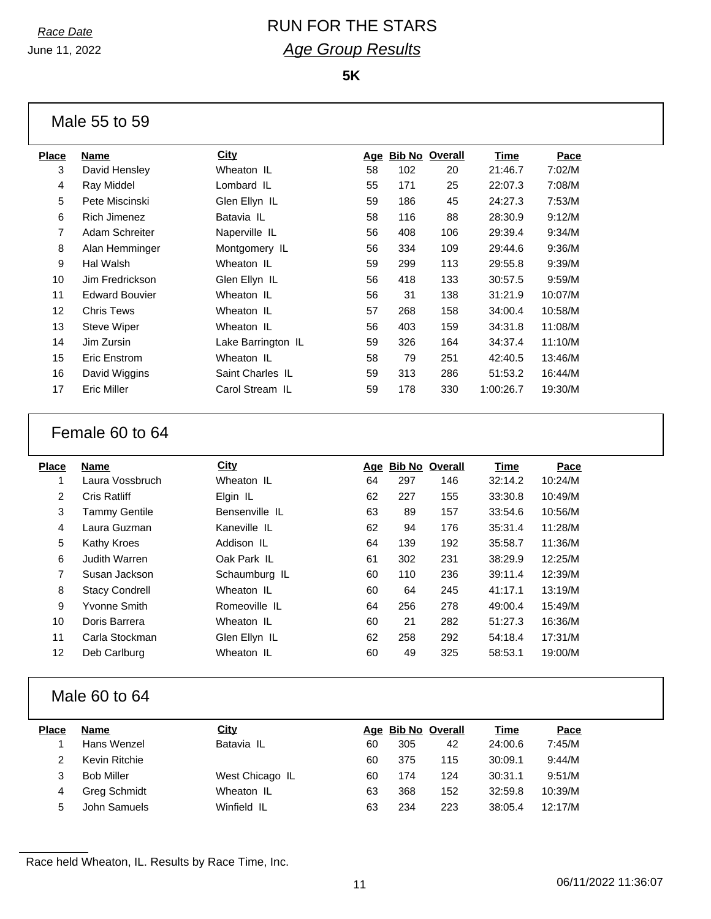## *Race Date* RUN FOR THE STARS *Age Group Results*

**5K**

|              | Male 55 to 59   |               |     |                       |     |                  |         |
|--------------|-----------------|---------------|-----|-----------------------|-----|------------------|---------|
| <b>Place</b> | <b>Name</b>     | City          | Aqe | <b>Bib No Overall</b> |     | Time             | Pace    |
| 3            | David Hensley   | Wheaton IL    | 58  | 102                   | 20  | 21:46.7          | 7:02/M  |
| 4            | Ray Middel      | Lombard IL    | 55  | 171                   | 25  | 22:07.3          | 7:08/M  |
| 5            | Pete Miscinski  | Glen Ellyn IL | 59  | 186                   | 45  | 24:27.3          | 7:53/M  |
| 6            | Rich Jimenez    | Batavia IL    | 58  | 116                   | 88  | 28:30.9          | 9:12/M  |
| 7            | Adam Schreiter  | Naperville IL | 56  | 408                   | 106 | 29:39.4          | 9:34/M  |
| 8            | Alan Hemminger  | Montgomery IL | 56  | 334                   | 109 | 29:44.6          | 9:36/M  |
| 9            | Hal Walsh       | Wheaton IL    | 59  | 299                   | 113 | 29:55.8          | 9:39/M  |
| 10           | Jim Fredrickson | Glen Ellyn IL | 56  | 418                   | 133 | 30:57.5          | 9:59/M  |
| 11           | Edward Rouvier  | Whaaton II    | 56. | 31                    | 138 | $21.21$ $\Omega$ | 10.07/M |

#### Edward Bouvier Wheaton IL 56 31 138 31:21.9 10:07/M Chris Tews Wheaton IL 57 268 158 34:00.4 10:58/M Steve Wiper Wheaton IL 56 403 159 34:31.8 11:08/M Jim Zursin Lake Barrington IL 59 326 164 34:37.4 11:10/M Eric Enstrom Wheaton IL 58 79 251 42:40.5 13:46/M David Wiggins Saint Charles IL 59 313 286 51:53.2 16:44/M Eric Miller Carol Stream IL 59 178 330 1:00:26.7 19:30/M

#### Female 60 to 64

| Place | <b>Name</b>           | <b>City</b>    | Age | <b>Bib No Overall</b> |     | Time    | Pace    |
|-------|-----------------------|----------------|-----|-----------------------|-----|---------|---------|
| 1     | Laura Vossbruch       | Wheaton IL     | 64  | 297                   | 146 | 32:14.2 | 10:24/M |
| 2     | Cris Ratliff          | Elgin IL       | 62  | 227                   | 155 | 33:30.8 | 10:49/M |
| 3     | <b>Tammy Gentile</b>  | Bensenville IL | 63  | 89                    | 157 | 33:54.6 | 10:56/M |
| 4     | Laura Guzman          | Kaneville IL   | 62  | 94                    | 176 | 35:31.4 | 11:28/M |
| 5     | Kathy Kroes           | Addison IL     | 64  | 139                   | 192 | 35:58.7 | 11:36/M |
| 6     | Judith Warren         | Oak Park IL    | 61  | 302                   | 231 | 38:29.9 | 12:25/M |
| 7     | Susan Jackson         | Schaumburg IL  | 60  | 110                   | 236 | 39:11.4 | 12:39/M |
| 8     | <b>Stacy Condrell</b> | Wheaton IL     | 60  | 64                    | 245 | 41:17.1 | 13:19/M |
| 9     | Yvonne Smith          | Romeoville IL  | 64  | 256                   | 278 | 49:00.4 | 15:49/M |
| 10    | Doris Barrera         | Wheaton IL     | 60  | 21                    | 282 | 51:27.3 | 16:36/M |
| 11    | Carla Stockman        | Glen Ellyn IL  | 62  | 258                   | 292 | 54:18.4 | 17:31/M |
| 12    | Deb Carlburg          | Wheaton IL     | 60  | 49                    | 325 | 58:53.1 | 19:00/M |
|       |                       |                |     |                       |     |         |         |

#### Male 60 to 64

| Place | <b>Name</b>       | <u>City</u>     | Aqe | <b>Bib No Overall</b> |     | Time    | <u>Pace</u> |
|-------|-------------------|-----------------|-----|-----------------------|-----|---------|-------------|
|       | Hans Wenzel       | Batavia IL      | 60  | 305                   | 42  | 24:00.6 | 7:45/M      |
|       | Kevin Ritchie     |                 | 60  | 375                   | 115 | 30:09.1 | 9:44/M      |
| 3     | <b>Bob Miller</b> | West Chicago IL | 60  | 174                   | 124 | 30:31.1 | 9:51/M      |
|       | Greg Schmidt      | Wheaton IL      | 63  | 368                   | 152 | 32:59.8 | 10:39/M     |
| 5     | John Samuels      | Winfield IL     | 63  | 234                   | 223 | 38:05.4 | 12:17/M     |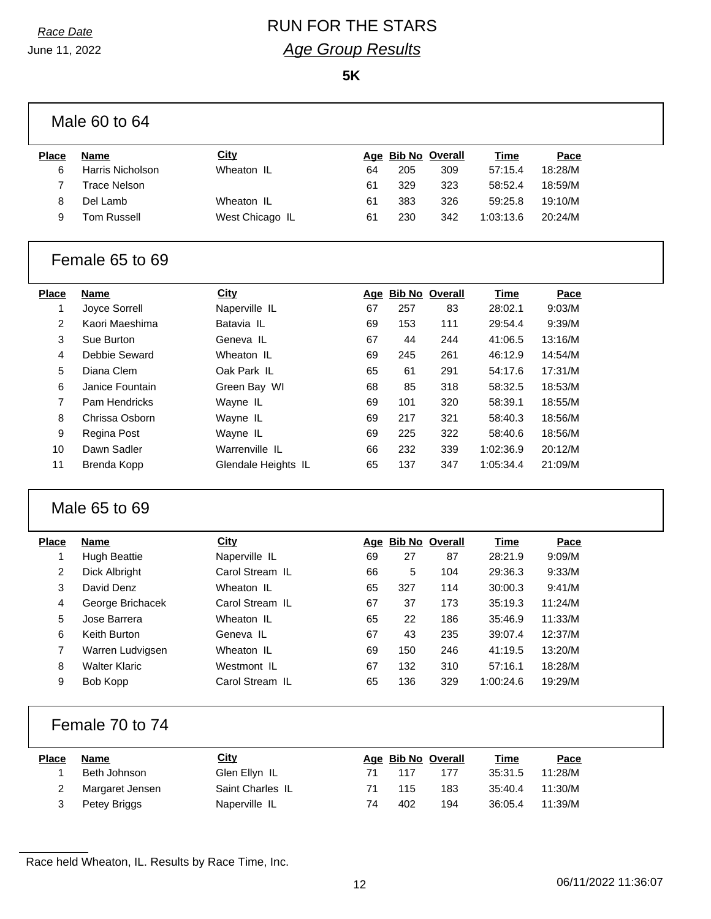# *Race Date* RUN FOR THE STARS *Age Group Results*

**5K**

| <b>Place</b>   | <b>Name</b>          | <b>City</b>          |    | Age Bib No Overall |     | <b>Time</b> | Pace    |
|----------------|----------------------|----------------------|----|--------------------|-----|-------------|---------|
| 6              | Harris Nicholson     | Wheaton IL           | 64 | 205                | 309 | 57:15.4     | 18:28/M |
| $\overline{7}$ | <b>Trace Nelson</b>  |                      | 61 | 329                | 323 | 58:52.4     | 18:59/M |
| 8              | Del Lamb             | Wheaton IL           | 61 | 383                | 326 | 59:25.8     | 19:10/M |
| 9              | <b>Tom Russell</b>   | West Chicago IL      | 61 | 230                | 342 | 1:03:13.6   | 20:24/M |
|                | Female 65 to 69      |                      |    |                    |     |             |         |
| <b>Place</b>   | <b>Name</b>          | <b>City</b>          |    | Age Bib No Overall |     | <b>Time</b> | Pace    |
| 1              | Joyce Sorrell        | Naperville IL        | 67 | 257                | 83  | 28:02.1     | 9:03/M  |
| 2              | Kaori Maeshima       | Batavia IL           | 69 | 153                | 111 | 29:54.4     | 9:39/M  |
| 3              | Sue Burton           | Geneva <sub>IL</sub> | 67 | 44                 | 244 | 41:06.5     | 13:16/M |
| 4              | Debbie Seward        | Wheaton IL           | 69 | 245                | 261 | 46:12.9     | 14:54/M |
| 5              | Diana Clem           | Oak Park IL          | 65 | 61                 | 291 | 54:17.6     | 17:31/M |
| 6              | Janice Fountain      | Green Bay WI         | 68 | 85                 | 318 | 58:32.5     | 18:53/M |
| $\overline{7}$ | Pam Hendricks        | Wayne IL             | 69 | 101                | 320 | 58:39.1     | 18:55/M |
| 8              | Chrissa Osborn       | Wayne IL             | 69 | 217                | 321 | 58:40.3     | 18:56/M |
| 9              | Regina Post          | Wayne IL             | 69 | 225                | 322 | 58:40.6     | 18:56/M |
| 10             | Dawn Sadler          | Warrenville IL       | 66 |                    |     |             |         |
|                |                      |                      |    | 232                | 339 | 1:02:36.9   | 20:12/M |
| 11             | Brenda Kopp          | Glendale Heights IL  | 65 | 137                | 347 | 1:05:34.4   | 21:09/M |
|                | Male 65 to 69        |                      |    |                    |     |             |         |
|                | <b>Name</b>          | <b>City</b>          |    | Age Bib No Overall |     | <b>Time</b> | Pace    |
| 1              | <b>Hugh Beattie</b>  | Naperville IL        | 69 | 27                 | 87  | 28:21.9     | 9:09/M  |
| 2              | Dick Albright        | Carol Stream IL      | 66 | 5                  | 104 | 29:36.3     | 9:33/M  |
| 3              | David Denz           | Wheaton IL           | 65 | 327                | 114 | 30:00.3     | 9:41/M  |
| 4              | George Brichacek     | Carol Stream IL      | 67 | 37                 | 173 | 35:19.3     | 11:24/M |
| 5              | Jose Barrera         | Wheaton IL           | 65 | 22                 | 186 | 35:46.9     | 11:33/M |
| 6              | Keith Burton         | Geneva IL            | 67 | 43                 | 235 | 39:07.4     | 12:37/M |
| $\overline{7}$ | Warren Ludvigsen     | Wheaton IL           | 69 | 150                | 246 | 41:19.5     | 13:20/M |
| 8              | <b>Walter Klaric</b> | Westmont IL          | 67 | 132                | 310 | 57:16.1     | 18:28/M |
| 9              | Bob Kopp             | Carol Stream IL      | 65 | 136                | 329 | 1:00:24.6   | 19:29/M |
| <b>Place</b>   | Female 70 to 74      |                      |    |                    |     |             |         |
| <b>Place</b>   | <b>Name</b>          | <b>City</b>          |    | Age Bib No Overall |     | <b>Time</b> | Pace    |
| 1              | Beth Johnson         | Glen Ellyn IL        | 71 | 117                | 177 | 35:31.5     | 11:28/M |
| 2              | Margaret Jensen      | Saint Charles IL     | 71 | 115                | 183 | 35:40.4     | 11:30/M |